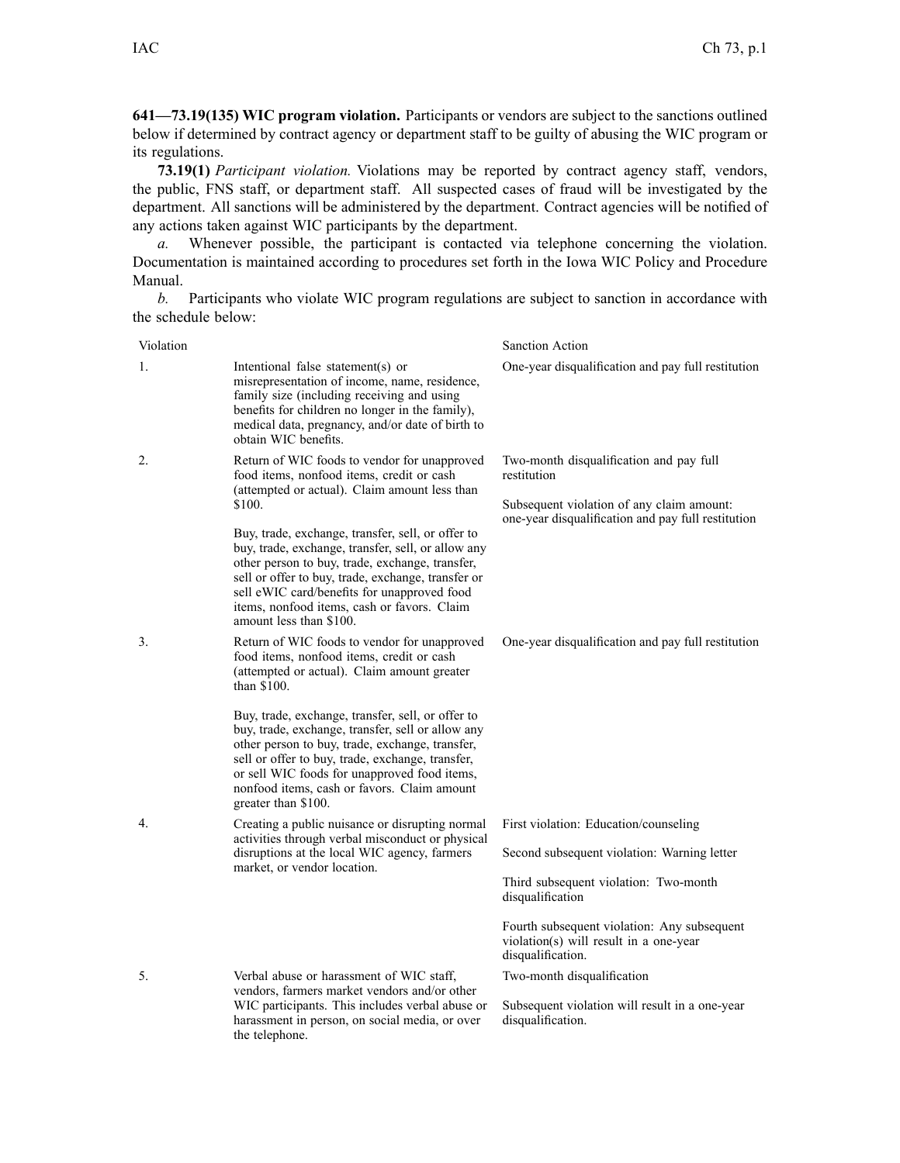**641—73.19(135) WIC program violation.** Participants or vendors are subject to the sanctions outlined below if determined by contract agency or department staff to be guilty of abusing the WIC program or its regulations.

**73.19(1)** *Participant violation.* Violations may be reported by contract agency staff, vendors, the public, FNS staff, or department staff. All suspected cases of fraud will be investigated by the department. All sanctions will be administered by the department. Contract agencies will be notified of any actions taken against WIC participants by the department.

*a.* Whenever possible, the participant is contacted via telephone concerning the violation. Documentation is maintained according to procedures set forth in the Iowa WIC Policy and Procedure Manual.

*b.* Participants who violate WIC program regulations are subject to sanction in accordance with the schedule below:

| Violation |                                                                                                                                                                                                                                                                                                                                                                                                                                                                                                   | Sanction Action                                                                                                                                                                                                                                                 |
|-----------|---------------------------------------------------------------------------------------------------------------------------------------------------------------------------------------------------------------------------------------------------------------------------------------------------------------------------------------------------------------------------------------------------------------------------------------------------------------------------------------------------|-----------------------------------------------------------------------------------------------------------------------------------------------------------------------------------------------------------------------------------------------------------------|
| 1.        | Intentional false statement(s) or<br>misrepresentation of income, name, residence,<br>family size (including receiving and using<br>benefits for children no longer in the family),<br>medical data, pregnancy, and/or date of birth to<br>obtain WIC benefits.                                                                                                                                                                                                                                   | One-year disqualification and pay full restitution                                                                                                                                                                                                              |
| 2.        | Return of WIC foods to vendor for unapproved<br>food items, nonfood items, credit or cash<br>(attempted or actual). Claim amount less than<br>\$100.<br>Buy, trade, exchange, transfer, sell, or offer to<br>buy, trade, exchange, transfer, sell, or allow any<br>other person to buy, trade, exchange, transfer,<br>sell or offer to buy, trade, exchange, transfer or<br>sell eWIC card/benefits for unapproved food<br>items, nonfood items, cash or favors. Claim<br>amount less than \$100. | Two-month disqualification and pay full<br>restitution<br>Subsequent violation of any claim amount:<br>one-year disqualification and pay full restitution                                                                                                       |
| 3.        | Return of WIC foods to vendor for unapproved<br>food items, nonfood items, credit or cash<br>(attempted or actual). Claim amount greater<br>than \$100.<br>Buy, trade, exchange, transfer, sell, or offer to<br>buy, trade, exchange, transfer, sell or allow any<br>other person to buy, trade, exchange, transfer,<br>sell or offer to buy, trade, exchange, transfer,<br>or sell WIC foods for unapproved food items,<br>nonfood items, cash or favors. Claim amount<br>greater than \$100.    | One-year disqualification and pay full restitution                                                                                                                                                                                                              |
| 4.        | Creating a public nuisance or disrupting normal<br>activities through verbal misconduct or physical<br>disruptions at the local WIC agency, farmers<br>market, or vendor location.                                                                                                                                                                                                                                                                                                                | First violation: Education/counseling<br>Second subsequent violation: Warning letter<br>Third subsequent violation: Two-month<br>disqualification<br>Fourth subsequent violation: Any subsequent<br>violation(s) will result in a one-year<br>disqualification. |
| 5.        | Verbal abuse or harassment of WIC staff,<br>vendors, farmers market vendors and/or other<br>WIC participants. This includes verbal abuse or<br>harassment in person, on social media, or over<br>the telephone.                                                                                                                                                                                                                                                                                   | Two-month disqualification<br>Subsequent violation will result in a one-year<br>disqualification.                                                                                                                                                               |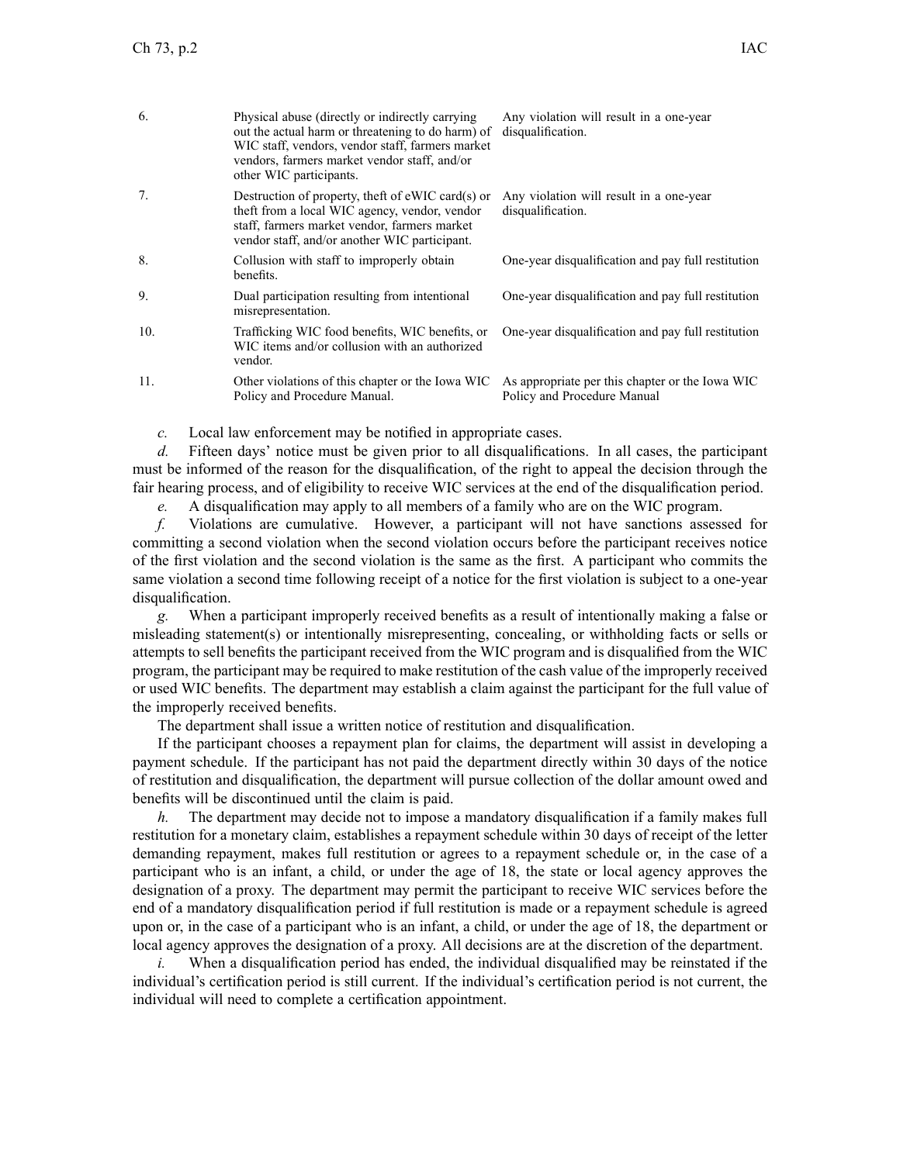| 6.  | Physical abuse (directly or indirectly carrying)<br>out the actual harm or threatening to do harm) of<br>WIC staff, vendors, vendor staff, farmers market<br>vendors, farmers market vendor staff, and/or<br>other WIC participants. | Any violation will result in a one-year<br>disqualification.                   |
|-----|--------------------------------------------------------------------------------------------------------------------------------------------------------------------------------------------------------------------------------------|--------------------------------------------------------------------------------|
| 7.  | Destruction of property, theft of $eWIC$ card $(s)$ or<br>theft from a local WIC agency, vendor, vendor<br>staff, farmers market vendor, farmers market<br>vendor staff, and/or another WIC participant.                             | Any violation will result in a one-year<br>disqualification.                   |
| 8.  | Collusion with staff to improperly obtain<br>henefits.                                                                                                                                                                               | One-year disqualification and pay full restitution                             |
| 9.  | Dual participation resulting from intentional<br>misrepresentation.                                                                                                                                                                  | One-year disqualification and pay full restitution                             |
| 10. | Trafficking WIC food benefits, WIC benefits, or<br>WIC items and/or collusion with an authorized<br>vendor.                                                                                                                          | One-year disqualification and pay full restitution                             |
| 11. | Other violations of this chapter or the Iowa WIC<br>Policy and Procedure Manual.                                                                                                                                                     | As appropriate per this chapter or the Iowa WIC<br>Policy and Procedure Manual |

*c.* Local law enforcement may be notified in appropriate cases.

*d.* Fifteen days' notice must be given prior to all disqualifications. In all cases, the participant must be informed of the reason for the disqualification, of the right to appeal the decision through the fair hearing process, and of eligibility to receive WIC services at the end of the disqualification period.

*e.* A disqualification may apply to all members of <sup>a</sup> family who are on the WIC program.

*f.* Violations are cumulative. However, <sup>a</sup> participant will not have sanctions assessed for committing <sup>a</sup> second violation when the second violation occurs before the participant receives notice of the first violation and the second violation is the same as the first. A participant who commits the same violation <sup>a</sup> second time following receipt of <sup>a</sup> notice for the first violation is subject to <sup>a</sup> one-year disqualification.

*g.* When <sup>a</sup> participant improperly received benefits as <sup>a</sup> result of intentionally making <sup>a</sup> false or misleading statement(s) or intentionally misrepresenting, concealing, or withholding facts or sells or attempts to sell benefits the participant received from the WIC program and is disqualified from the WIC program, the participant may be required to make restitution of the cash value of the improperly received or used WIC benefits. The department may establish <sup>a</sup> claim against the participant for the full value of the improperly received benefits.

The department shall issue <sup>a</sup> written notice of restitution and disqualification.

If the participant chooses <sup>a</sup> repaymen<sup>t</sup> plan for claims, the department will assist in developing <sup>a</sup> paymen<sup>t</sup> schedule. If the participant has not paid the department directly within 30 days of the notice of restitution and disqualification, the department will pursue collection of the dollar amount owed and benefits will be discontinued until the claim is paid.

*h.* The department may decide not to impose <sup>a</sup> mandatory disqualification if <sup>a</sup> family makes full restitution for <sup>a</sup> monetary claim, establishes <sup>a</sup> repaymen<sup>t</sup> schedule within 30 days of receipt of the letter demanding repayment, makes full restitution or agrees to <sup>a</sup> repaymen<sup>t</sup> schedule or, in the case of <sup>a</sup> participant who is an infant, <sup>a</sup> child, or under the age of 18, the state or local agency approves the designation of <sup>a</sup> proxy. The department may permit the participant to receive WIC services before the end of <sup>a</sup> mandatory disqualification period if full restitution is made or <sup>a</sup> repaymen<sup>t</sup> schedule is agreed upon or, in the case of <sup>a</sup> participant who is an infant, <sup>a</sup> child, or under the age of 18, the department or local agency approves the designation of <sup>a</sup> proxy. All decisions are at the discretion of the department.

*i.* When <sup>a</sup> disqualification period has ended, the individual disqualified may be reinstated if the individual's certification period is still current. If the individual's certification period is not current, the individual will need to complete <sup>a</sup> certification appointment.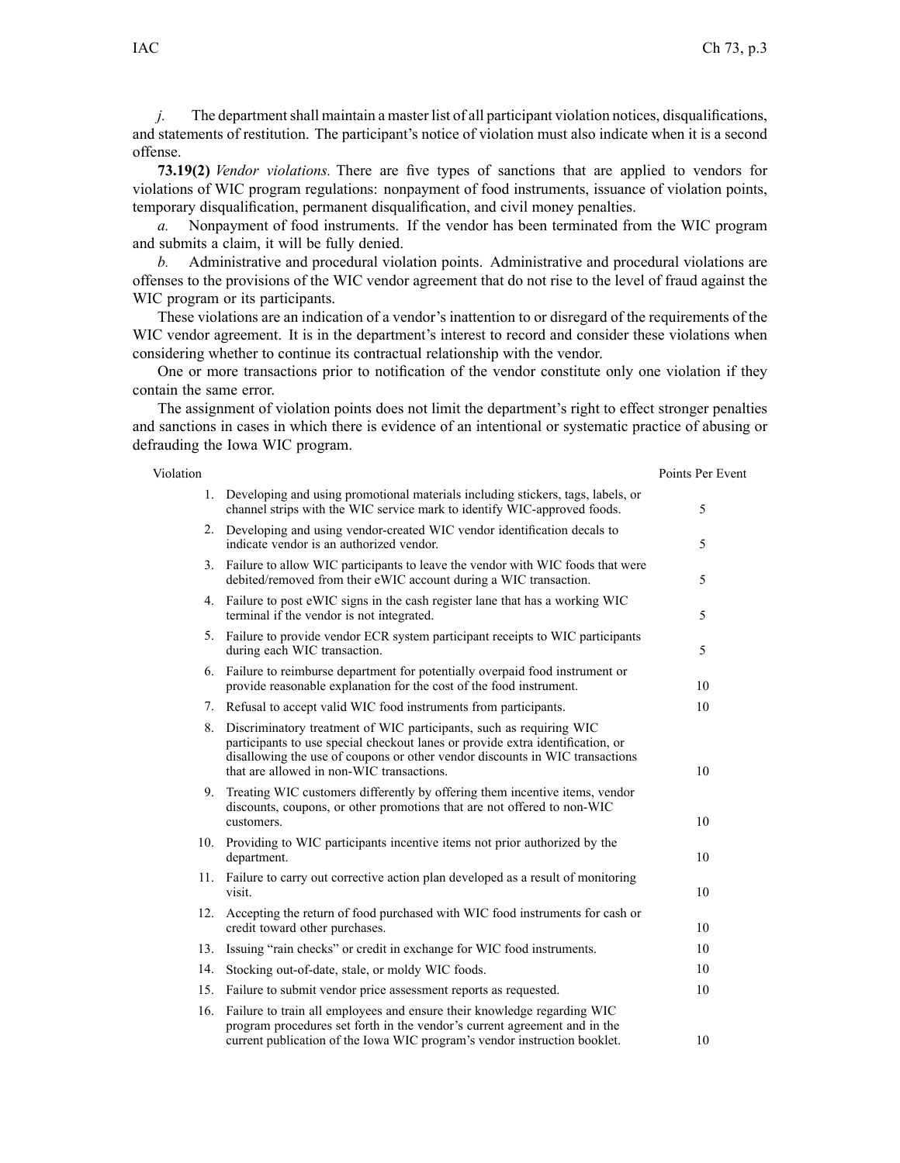*j.* The department shall maintain a master list of all participant violation notices, disqualifications, and statements of restitution. The participant's notice of violation must also indicate when it is <sup>a</sup> second offense.

**73.19(2)** *Vendor violations.* There are five types of sanctions that are applied to vendors for violations of WIC program regulations: nonpaymen<sup>t</sup> of food instruments, issuance of violation points, temporary disqualification, permanen<sup>t</sup> disqualification, and civil money penalties.

*a.* Nonpayment of food instruments. If the vendor has been terminated from the WIC program and submits <sup>a</sup> claim, it will be fully denied.

*b.* Administrative and procedural violation points. Administrative and procedural violations are offenses to the provisions of the WIC vendor agreemen<sup>t</sup> that do not rise to the level of fraud against the WIC program or its participants.

These violations are an indication of <sup>a</sup> vendor's inattention to or disregard of the requirements of the WIC vendor agreement. It is in the department's interest to record and consider these violations when considering whether to continue its contractual relationship with the vendor.

One or more transactions prior to notification of the vendor constitute only one violation if they contain the same error.

The assignment of violation points does not limit the department's right to effect stronger penalties and sanctions in cases in which there is evidence of an intentional or systematic practice of abusing or defrauding the Iowa WIC program.

| Violation |                                                                                                                                                                                                                                                                                    | Points Per Event |
|-----------|------------------------------------------------------------------------------------------------------------------------------------------------------------------------------------------------------------------------------------------------------------------------------------|------------------|
|           | 1. Developing and using promotional materials including stickers, tags, labels, or<br>channel strips with the WIC service mark to identify WIC-approved foods.                                                                                                                     | 5                |
|           | 2. Developing and using vendor-created WIC vendor identification decals to<br>indicate vendor is an authorized vendor.                                                                                                                                                             | 5                |
|           | 3. Failure to allow WIC participants to leave the vendor with WIC foods that were<br>debited/removed from their eWIC account during a WIC transaction.                                                                                                                             | 5                |
|           | 4. Failure to post eWIC signs in the cash register lane that has a working WIC<br>terminal if the vendor is not integrated.                                                                                                                                                        | 5                |
|           | 5. Failure to provide vendor ECR system participant receipts to WIC participants<br>during each WIC transaction.                                                                                                                                                                   | 5                |
|           | 6. Failure to reimburse department for potentially overpaid food instrument or<br>provide reasonable explanation for the cost of the food instrument.                                                                                                                              | 10               |
|           | 7. Refusal to accept valid WIC food instruments from participants.                                                                                                                                                                                                                 | 10               |
| 8.        | Discriminatory treatment of WIC participants, such as requiring WIC<br>participants to use special checkout lanes or provide extra identification, or<br>disallowing the use of coupons or other vendor discounts in WIC transactions<br>that are allowed in non-WIC transactions. | 10               |
|           | 9. Treating WIC customers differently by offering them incentive items, vendor<br>discounts, coupons, or other promotions that are not offered to non-WIC<br>customers.                                                                                                            | 10               |
|           | 10. Providing to WIC participants incentive items not prior authorized by the<br>department.                                                                                                                                                                                       | 10               |
|           | 11. Failure to carry out corrective action plan developed as a result of monitoring<br>visit.                                                                                                                                                                                      | 10               |
| 12.       | Accepting the return of food purchased with WIC food instruments for cash or<br>credit toward other purchases.                                                                                                                                                                     | 10               |
| 13.       | Issuing "rain checks" or credit in exchange for WIC food instruments.                                                                                                                                                                                                              | 10               |
| 14.       | Stocking out-of-date, stale, or moldy WIC foods.                                                                                                                                                                                                                                   | 10               |
|           | 15. Failure to submit vendor price assessment reports as requested.                                                                                                                                                                                                                | 10               |
|           | 16. Failure to train all employees and ensure their knowledge regarding WIC<br>program procedures set forth in the vendor's current agreement and in the<br>current publication of the Iowa WIC program's vendor instruction booklet.                                              | 10               |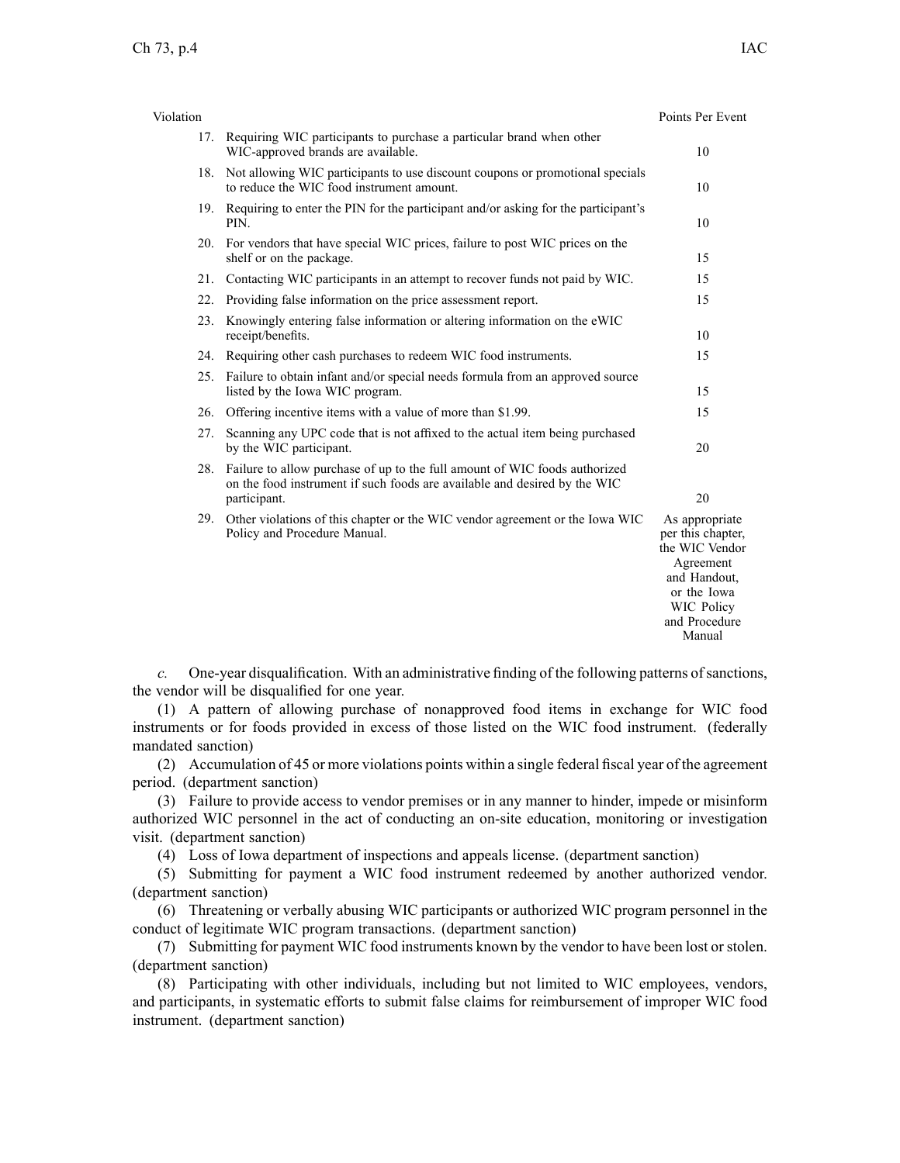| Violation |                                                                                                                                                                         | Points Per Event                                                                                                                           |
|-----------|-------------------------------------------------------------------------------------------------------------------------------------------------------------------------|--------------------------------------------------------------------------------------------------------------------------------------------|
|           | 17. Requiring WIC participants to purchase a particular brand when other<br>WIC-approved brands are available.                                                          | 10                                                                                                                                         |
| 18.       | Not allowing WIC participants to use discount coupons or promotional specials<br>to reduce the WIC food instrument amount.                                              | 10                                                                                                                                         |
|           | 19. Requiring to enter the PIN for the participant and/or asking for the participant's<br>PIN.                                                                          | 10                                                                                                                                         |
|           | 20. For vendors that have special WIC prices, failure to post WIC prices on the<br>shelf or on the package.                                                             | 15                                                                                                                                         |
| 21.       | Contacting WIC participants in an attempt to recover funds not paid by WIC.                                                                                             | 15                                                                                                                                         |
| 22.       | Providing false information on the price assessment report.                                                                                                             | 15                                                                                                                                         |
| 23.       | Knowingly entering false information or altering information on the eWIC<br>receipt/benefits.                                                                           | 10                                                                                                                                         |
|           | 24. Requiring other cash purchases to redeem WIC food instruments.                                                                                                      | 15                                                                                                                                         |
|           | 25. Failure to obtain infant and/or special needs formula from an approved source<br>listed by the Iowa WIC program.                                                    | 15                                                                                                                                         |
| 26.       | Offering incentive items with a value of more than \$1.99.                                                                                                              | 15                                                                                                                                         |
| 27.       | Scanning any UPC code that is not affixed to the actual item being purchased<br>by the WIC participant.                                                                 | 20                                                                                                                                         |
| 28.       | Failure to allow purchase of up to the full amount of WIC foods authorized<br>on the food instrument if such foods are available and desired by the WIC<br>participant. | 20                                                                                                                                         |
|           | 29. Other violations of this chapter or the WIC vendor agreement or the Iowa WIC<br>Policy and Procedure Manual.                                                        | As appropriate<br>per this chapter,<br>the WIC Vendor<br>Agreement<br>and Handout.<br>or the Iowa<br>WIC Policy<br>and Procedure<br>Manual |

*c.* One-year disqualification. With an administrative finding of the following patterns ofsanctions, the vendor will be disqualified for one year.

(1) A pattern of allowing purchase of nonapproved food items in exchange for WIC food instruments or for foods provided in excess of those listed on the WIC food instrument. (federally mandated sanction)

(2) Accumulation of 45 or more violations points within <sup>a</sup> single federal fiscal year of the agreemen<sup>t</sup> period. (department sanction)

(3) Failure to provide access to vendor premises or in any manner to hinder, impede or misinform authorized WIC personnel in the act of conducting an on-site education, monitoring or investigation visit. (department sanction)

(4) Loss of Iowa department of inspections and appeals license. (department sanction)

(5) Submitting for paymen<sup>t</sup> <sup>a</sup> WIC food instrument redeemed by another authorized vendor. (department sanction)

(6) Threatening or verbally abusing WIC participants or authorized WIC program personnel in the conduct of legitimate WIC program transactions. (department sanction)

(7) Submitting for paymen<sup>t</sup> WIC food instruments known by the vendor to have been lost or stolen. (department sanction)

(8) Participating with other individuals, including but not limited to WIC employees, vendors, and participants, in systematic efforts to submit false claims for reimbursement of improper WIC food instrument. (department sanction)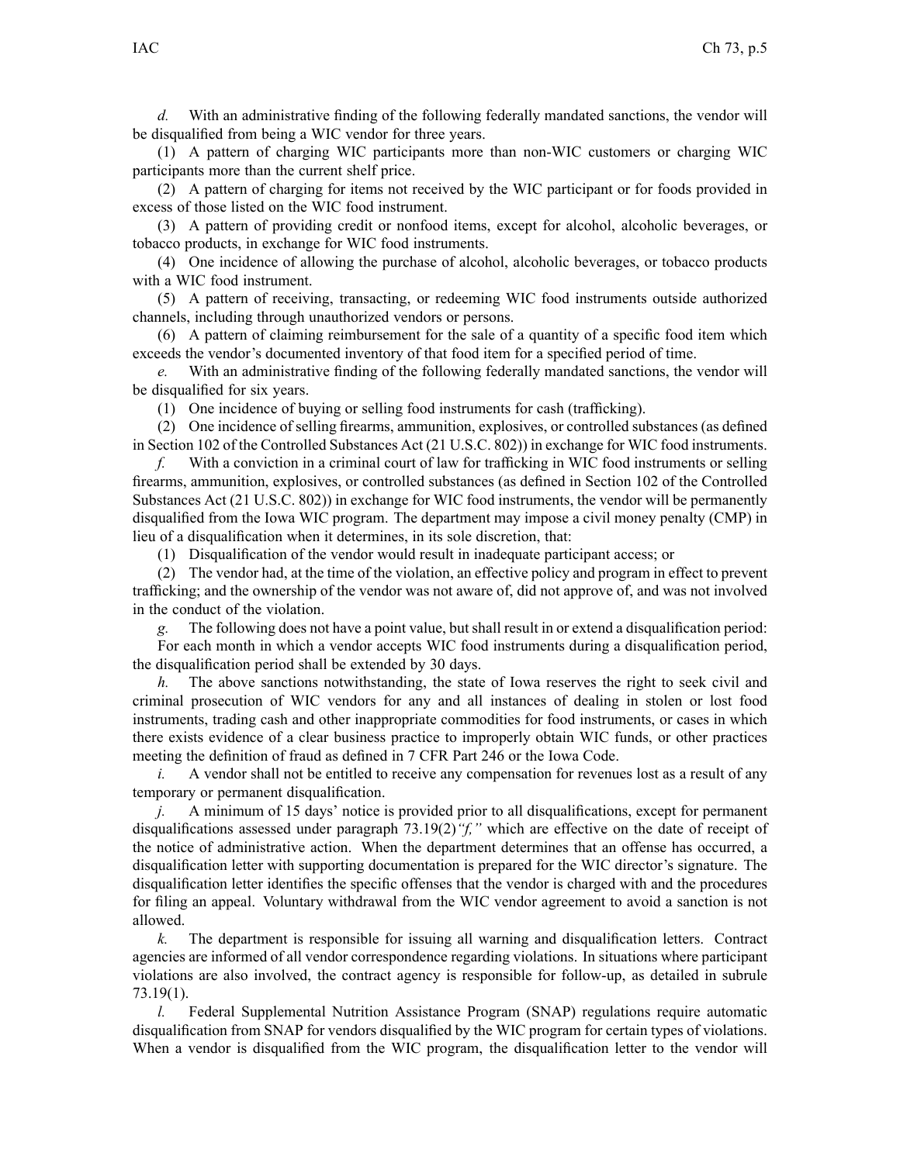*d.* With an administrative finding of the following federally mandated sanctions, the vendor will be disqualified from being <sup>a</sup> WIC vendor for three years.

(1) A pattern of charging WIC participants more than non-WIC customers or charging WIC participants more than the current shelf price.

(2) A pattern of charging for items not received by the WIC participant or for foods provided in excess of those listed on the WIC food instrument.

(3) A pattern of providing credit or nonfood items, excep<sup>t</sup> for alcohol, alcoholic beverages, or tobacco products, in exchange for WIC food instruments.

(4) One incidence of allowing the purchase of alcohol, alcoholic beverages, or tobacco products with <sup>a</sup> WIC food instrument.

(5) A pattern of receiving, transacting, or redeeming WIC food instruments outside authorized channels, including through unauthorized vendors or persons.

(6) A pattern of claiming reimbursement for the sale of <sup>a</sup> quantity of <sup>a</sup> specific food item which exceeds the vendor's documented inventory of that food item for <sup>a</sup> specified period of time.

*e.* With an administrative finding of the following federally mandated sanctions, the vendor will be disqualified for six years.

(1) One incidence of buying or selling food instruments for cash (trafficking).

(2) One incidence of selling firearms, ammunition, explosives, or controlled substances (as defined in Section 102 of the Controlled Substances Act (21 U.S.C. 802)) in exchange for WIC food instruments.

*f.* With <sup>a</sup> conviction in <sup>a</sup> criminal court of law for trafficking in WIC food instruments or selling firearms, ammunition, explosives, or controlled substances (as defined in Section 102 of the Controlled Substances Act (21 U.S.C. 802)) in exchange for WIC food instruments, the vendor will be permanently disqualified from the Iowa WIC program. The department may impose <sup>a</sup> civil money penalty (CMP) in lieu of <sup>a</sup> disqualification when it determines, in its sole discretion, that:

(1) Disqualification of the vendor would result in inadequate participant access; or

(2) The vendor had, at the time of the violation, an effective policy and program in effect to preven<sup>t</sup> trafficking; and the ownership of the vendor was not aware of, did not approve of, and was not involved in the conduct of the violation.

*g.* The following does not have <sup>a</sup> point value, but shall result in or extend <sup>a</sup> disqualification period: For each month in which <sup>a</sup> vendor accepts WIC food instruments during <sup>a</sup> disqualification period, the disqualification period shall be extended by 30 days.

*h.* The above sanctions notwithstanding, the state of Iowa reserves the right to seek civil and criminal prosecution of WIC vendors for any and all instances of dealing in stolen or lost food instruments, trading cash and other inappropriate commodities for food instruments, or cases in which there exists evidence of <sup>a</sup> clear business practice to improperly obtain WIC funds, or other practices meeting the definition of fraud as defined in 7 CFR Part 246 or the Iowa Code.

*i.* A vendor shall not be entitled to receive any compensation for revenues lost as a result of any temporary or permanen<sup>t</sup> disqualification.

*j.* A minimum of 15 days' notice is provided prior to all disqualifications, excep<sup>t</sup> for permanen<sup>t</sup> disqualifications assessed under paragraph [73.19\(2\)](https://www.legis.iowa.gov/docs/iac/rule/641.73.19.pdf)*"f,"* which are effective on the date of receipt of the notice of administrative action. When the department determines that an offense has occurred, <sup>a</sup> disqualification letter with supporting documentation is prepared for the WIC director's signature. The disqualification letter identifies the specific offenses that the vendor is charged with and the procedures for filing an appeal. Voluntary withdrawal from the WIC vendor agreemen<sup>t</sup> to avoid <sup>a</sup> sanction is not allowed.

*k.* The department is responsible for issuing all warning and disqualification letters. Contract agencies are informed of all vendor correspondence regarding violations. In situations where participant violations are also involved, the contract agency is responsible for follow-up, as detailed in subrule [73.19\(1\)](https://www.legis.iowa.gov/docs/iac/rule/641.73.19.pdf).

*l.* Federal Supplemental Nutrition Assistance Program (SNAP) regulations require automatic disqualification from SNAP for vendors disqualified by the WIC program for certain types of violations. When <sup>a</sup> vendor is disqualified from the WIC program, the disqualification letter to the vendor will